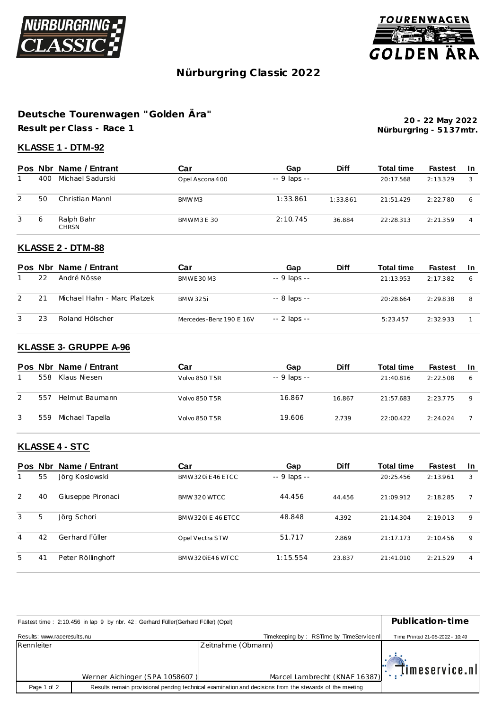



# **Nürburgring C lassic 2022**

## **Deutsche Tourenwagen "Golden Ära"**

**Result per Class - Race 1**

**Nürburgring - 51 37mtr. 20 - 22 May 2022**

#### **KLASSE 1 - DTM-92**

|   |     | Pos Nbr Name / Entrant     | Car             | Gap          | <b>Diff</b> | <b>Total time</b> | <b>Fastest</b> | -In |
|---|-----|----------------------------|-----------------|--------------|-------------|-------------------|----------------|-----|
|   | 400 | Michael Sadurski           | Opel Ascona 400 | -- 9 laps -- |             | 20:17.568         | 2:13.329       | 3   |
| 2 | 50  | Christian Mannl            | BMW M3          | 1:33.861     | 1:33.861    | 21:51.429         | 2:22.780       | 6   |
| 3 | 6   | Ralph Bahr<br><b>CHRSN</b> | BMWM3E30        | 2:10.745     | 36.884      | 22:28.313         | 2:21.359       | 4   |

## **KLASSE 2 - DTM-88**

|               |    | Pos Nbr Name / Entrant      | Car                     | Gap           | <b>Diff</b> | Total time | Fastest  | -In |
|---------------|----|-----------------------------|-------------------------|---------------|-------------|------------|----------|-----|
|               | 22 | André Nösse                 | BMWE30M3                | $-9$ laps $-$ |             | 21:13.953  | 2:17.382 | 6   |
| $\mathcal{P}$ | 21 | Michael Hahn - Marc Platzek | BMW 325i                | $-8$ laps $-$ |             | 20:28.664  | 2:29.838 | 8   |
| 3             | 23 | Roland Hölscher             | Mercedes-Benz 190 E 16V | $-2$ laps $-$ |             | 5:23.457   | 2:32.933 |     |

#### **KLASSE 3- GRUPPE A-96**

|   |     | Pos Nbr Name / Entrant | Car                  | Gap           | <b>Diff</b> | <b>Total time</b> | <b>Fastest</b> | -In |
|---|-----|------------------------|----------------------|---------------|-------------|-------------------|----------------|-----|
|   | 558 | Klaus Niesen           | <b>Volvo 850 T5R</b> | $-9$ laps $-$ |             | 21:40.816         | 2:22.508       | 6   |
| 2 | 557 | Helmut Baumann         | <b>Volvo 850 T5R</b> | 16.867        | 16.867      | 21:57.683         | 2:23.775       | 9   |
| 3 | 559 | Michael Tapella        | Volvo 850 T5R        | 19.606        | 2.739       | 22:00.422         | 2:24.024       |     |

#### **KLASSE 4 - STC**

|   | Pos Nbr | Name / Entrant    | Car               | Gap                | <b>Diff</b> | <b>Total time</b> | <b>Fastest</b> | <b>In</b> |
|---|---------|-------------------|-------------------|--------------------|-------------|-------------------|----------------|-----------|
|   | 55      | Jörg Koslowski    | BMW320iF46FTCC    | $- - 9$ laps $- -$ |             | 20:25.456         | 2:13.961       | 3         |
| 2 | 40      | Giuseppe Pironaci | BMW 320 WTCC      | 44.456             | 44.456      | 21:09.912         | 2:18.285       |           |
| 3 | 5       | Jörg Schori       | BMW320i E 46 FTCC | 48.848             | 4.392       | 21:14.304         | 2:19.013       | 9         |
| 4 | 42      | Gerhard Füller    | Opel Vectra STW   | 51.717             | 2.869       | 21:17.173         | 2:10.456       | 9         |
| 5 | 41      | Peter Röllinghoff | BMW320iF46WTCC    | 1:15.554           | 23.837      | 21:41.010         | 2:21.529       | 4         |

| Fastest time: 2:10.456 in lap 9 by nbr. 42: Gerhard Füller(Gerhard Füller) (Opel) | Publication-time               |                                          |                                 |
|-----------------------------------------------------------------------------------|--------------------------------|------------------------------------------|---------------------------------|
| Results: www.raceresults.nu                                                       |                                | Timekeeping by: RSTime by TimeService nl | Time Printed 21-05-2022 - 10:49 |
| Rennleiter                                                                        |                                | Zeitnahme (Obmann)                       |                                 |
|                                                                                   | Werner Aichinger (SPA 1058607) | Marcel Lambrecht (KNAF 16387)            | $ \cdot $ imeservice.nl         |
| Page 1 of 2                                                                       |                                |                                          |                                 |